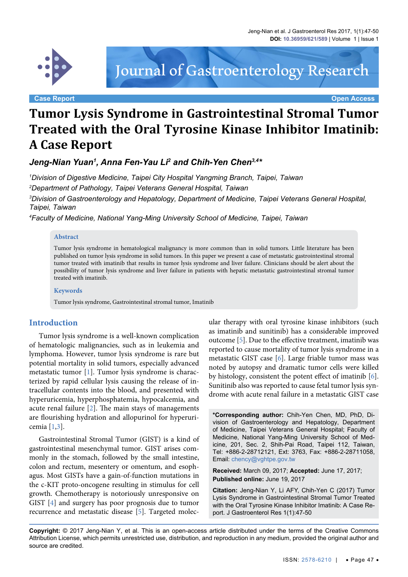

**Case Report Open Access**

Journal of Gastroenterology Research

# **Tumor Lysis Syndrome in Gastrointestinal Stromal Tumor Treated with the Oral Tyrosine Kinase Inhibitor Imatinib: A Case Report**

Jeng-Nian Yuan<sup>1</sup>, Anna Fen-Yau Li<sup>2</sup> and Chih-Yen Chen $^{3,4\ast}$ 

*1 Division of Digestive Medicine, Taipei City Hospital Yangming Branch, Taipei, Taiwan 2 Department of Pathology, Taipei Veterans General Hospital, Taiwan*

*3 Division of Gastroenterology and Hepatology, Department of Medicine, Taipei Veterans General Hospital, Taipei, Taiwan*

*4 Faculty of Medicine, National Yang-Ming University School of Medicine, Taipei, Taiwan*

#### **Abstract**

Tumor lysis syndrome in hematological malignancy is more common than in solid tumors. Little literature has been published on tumor lysis syndrome in solid tumors. In this paper we present a case of metastatic gastrointestinal stromal tumor treated with imatinib that results in tumor lysis syndrome and liver failure. Clinicians should be alert about the possibility of tumor lysis syndrome and liver failure in patients with hepatic metastatic gastrointestinal stromal tumor treated with imatinib.

#### **Keywords**

Tumor lysis syndrome, Gastrointestinal stromal tumor, Imatinib

### **Introduction**

Tumor lysis syndrome is a well-known complication of hematologic malignancies, such as in leukemia and lymphoma. However, tumor lysis syndrome is rare but potential mortality in solid tumors, especially advanced metastatic tumor [[1\]](#page-2-0). Tumor lysis syndrome is characterized by rapid cellular lysis causing the release of intracellular contents into the blood, and presented with hyperuricemia, hyperphosphatemia, hypocalcemia, and acute renal failure [[2](#page-2-1)]. The main stays of managements are flourishing hydration and allopurinol for hyperuricemia [[1](#page-2-0),[3\]](#page-2-2).

Gastrointestinal Stromal Tumor (GIST) is a kind of gastrointestinal mesenchymal tumor. GIST arises commonly in the stomach, followed by the small intestine, colon and rectum, mesentery or omentum, and esophagus. Most GISTs have a gain-of-function mutations in the c-KIT proto-oncogene resulting in stimulus for cell growth. Chemotherapy is notoriously unresponsive on GIST [\[4](#page-2-3)] and surgery has poor prognosis due to tumor recurrence and metastatic disease [\[5\]](#page-2-4). Targeted molecular therapy with oral tyrosine kinase inhibitors (such as imatinib and sunitinib) has a considerable improved outcome [\[5](#page-2-4)]. Due to the effective treatment, imatinib was reported to cause mortality of tumor lysis syndrome in a metastatic GIST case [\[6\]](#page-3-0). Large friable tumor mass was noted by autopsy and dramatic tumor cells were killed by histology, consistent the potent effect of imatinib [\[6\]](#page-3-0). Sunitinib also was reported to cause fetal tumor lysis syndrome with acute renal failure in a metastatic GIST case

**\*Corresponding author:** Chih-Yen Chen, MD, PhD, Division of Gastroenterology and Hepatology, Department of Medicine, Taipei Veterans General Hospital; Faculty of Medicine, National Yang-Ming University School of Medicine, 201, Sec. 2, Shih-Pai Road, Taipei 112, Taiwan, Tel: +886-2-28712121, Ext: 3763, Fax: +886-2-28711058, Email: chency@vghtpe.gov.tw

**Received:** March 09, 2017; **Accepted:** June 17, 2017; **Published online:** June 19, 2017

**Citation:** Jeng-Nian Y, Li AFY, Chih-Yen C (2017) Tumor Lysis Syndrome in Gastrointestinal Stromal Tumor Treated with the Oral Tyrosine Kinase Inhibitor Imatinib: A Case Report. J Gastroenterol Res 1(1):47-50

**Copyright:** © 2017 Jeng-Nian Y, et al. This is an open-access article distributed under the terms of the Creative Commons Attribution License, which permits unrestricted use, distribution, and reproduction in any medium, provided the original author and source are credited.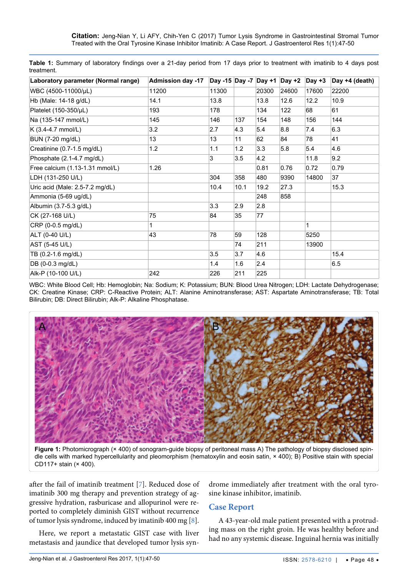<span id="page-1-0"></span>

|            | Table 1: Summary of laboratory findings over a 21-day period from 17 days prior to treatment with imatinib to 4 days post |  |  |  |  |  |  |  |
|------------|---------------------------------------------------------------------------------------------------------------------------|--|--|--|--|--|--|--|
| treatment. |                                                                                                                           |  |  |  |  |  |  |  |

| Laboratory parameter (Normal range) | <b>Admission day -17</b> | Day -15 Day -7 Day +1 |      |       | Day $+2$ | Day $+3$ | Day +4 (death) |
|-------------------------------------|--------------------------|-----------------------|------|-------|----------|----------|----------------|
| WBC (4500-11000/µL)                 | 11200                    | 11300                 |      | 20300 | 24600    | 17600    | 22200          |
| Hb (Male: 14-18 g/dL)               | 14.1                     | 13.8                  |      | 13.8  | 12.6     | 12.2     | 10.9           |
| Platelet (150-350/µL)               | 193                      | 178                   |      | 134   | 122      | 68       | 61             |
| Na (135-147 mmol/L)                 | 145                      | 146                   | 137  | 154   | 148      | 156      | 144            |
| K (3.4-4.7 mmol/L)                  | 3.2                      | 2.7                   | 4.3  | 5.4   | 8.8      | 7.4      | 6.3            |
| BUN (7-20 mg/dL)                    | 13                       | 13                    | 11   | 62    | 84       | 78       | 41             |
| Creatinine (0.7-1.5 mg/dL)          | 1.2                      | 1.1                   | 1.2  | 3.3   | 5.8      | 5.4      | 4.6            |
| Phosphate (2.1-4.7 mg/dL)           |                          | 3                     | 3.5  | 4.2   |          | 11.8     | 9.2            |
| Free calcium (1.13-1.31 mmol/L)     | 1.26                     |                       |      | 0.81  | 0.76     | 0.72     | 0.79           |
| LDH (131-250 U/L)                   |                          | 304                   | 358  | 480   | 9390     | 14800    | 37             |
| Uric acid (Male: 2.5-7.2 mg/dL)     |                          | 10.4                  | 10.1 | 19.2  | 27.3     |          | 15.3           |
| Ammonia (5-69 ug/dL)                |                          |                       |      | 248   | 858      |          |                |
| Albumin (3.7-5.3 g/dL)              |                          | 3.3                   | 2.9  | 2.8   |          |          |                |
| CK (27-168 U/L)                     | 75                       | 84                    | 35   | 77    |          |          |                |
| CRP (0-0.5 mg/dL)                   | 1                        |                       |      |       |          | 1        |                |
| ALT (0-40 U/L)                      | 43                       | 78                    | 59   | 128   |          | 5250     |                |
| AST (5-45 U/L)                      |                          |                       | 74   | 211   |          | 13900    |                |
| TB (0.2-1.6 mg/dL)                  |                          | 3.5                   | 3.7  | 4.6   |          |          | 15.4           |
| DB (0-0.3 mg/dL)                    |                          | 1.4                   | 1.6  | 2.4   |          |          | 6.5            |
| Alk-P (10-100 U/L)                  | 242                      | 226                   | 211  | 225   |          |          |                |

WBC: White Blood Cell; Hb: Hemoglobin; Na: Sodium; K: Potassium; BUN: Blood Urea Nitrogen; LDH: Lactate Dehydrogenase; CK: Creatine Kinase; CRP: C-Reactive Protein; ALT: Alanine Aminotransferase; AST: Aspartate Aminotransferase; TB: Total Bilirubin; DB: Direct Bilirubin; Alk-P: Alkaline Phosphatase.

<span id="page-1-1"></span>

**Figure 1:** Photomicrograph (× 400) of sonogram-guide biopsy of peritoneal mass A) The pathology of biopsy disclosed spindle cells with marked hypercellularity and pleomorphism (hematoxylin and eosin satin, × 400); B) Positive stain with special CD117+ stain (× 400).

after the fail of imatinib treatment [\[7\]](#page-3-1). Reduced dose of imatinib 300 mg therapy and prevention strategy of aggressive hydration, rasburicase and allopurinol were reported to completely diminish GIST without recurrence of tumor lysis syndrome, induced by imatinib 400 mg [\[8](#page-3-2)].

Here, we report a metastatic GIST case with liver metastasis and jaundice that developed tumor lysis syndrome immediately after treatment with the oral tyrosine kinase inhibitor, imatinib.

### **Case Report**

A 43-year-old male patient presented with a protruding mass on the right groin. He was healthy before and had no any systemic disease. Inguinal hernia was initially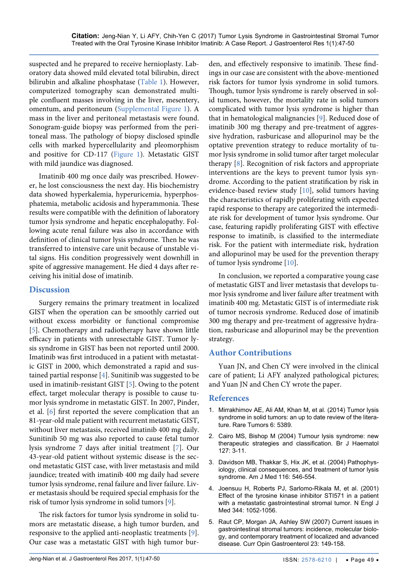suspected and he prepared to receive hernioplasty. Laboratory data showed mild elevated total bilirubin, direct bilirubin and alkaline phosphatase ([Table 1](#page-1-0)). However, computerized tomography scan demonstrated multiple confluent masses involving in the liver, mesentery, omentum, and peritoneum ([Supplemental Figure 1](#page-3-5)). A mass in the liver and peritoneal metastasis were found. Sonogram-guide biopsy was performed from the peritoneal mass. The pathology of biopsy disclosed spindle cells with marked hypercellularity and pleomorphism and positive for CD-117 ([Figure 1\)](#page-1-1). Metastatic GIST with mild jaundice was diagnosed.

Imatinib 400 mg once daily was prescribed. However, he lost consciousness the next day. His biochemistry data showed hyperkalemia, hyperuricemia, hyperphosphatemia, metabolic acidosis and hyperammonia. These results were compatible with the definition of laboratory tumor lysis syndrome and hepatic encephalopathy. Following acute renal failure was also in accordance with definition of clinical tumor lysis syndrome. Then he was transferred to intensive care unit because of unstable vital signs. His condition progressively went downhill in spite of aggressive management. He died 4 days after receiving his initial dose of imatinib.

## **Discussion**

Surgery remains the primary treatment in localized GIST when the operation can be smoothly carried out without excess morbidity or functional compromise [\[5\]](#page-2-4). Chemotherapy and radiotherapy have shown little efficacy in patients with unresectable GIST. Tumor lysis syndrome in GIST has been not reported until 2000. Imatinib was first introduced in a patient with metastatic GIST in 2000, which demonstrated a rapid and sustained partial response [\[4\]](#page-2-3). Sunitinib was suggested to be used in imatinib-resistant GIST [[5](#page-2-4)]. Owing to the potent effect, target molecular therapy is possible to cause tumor lysis syndrome in metastatic GIST. In 2007, Pinder, et al. [\[6](#page-3-0)] first reported the severe complication that an 81-year-old male patient with recurrent metastatic GIST, without liver metastasis, received imatinib 400 mg daily. Sunitinib 50 mg was also reported to cause fetal tumor lysis syndrome 7 days after initial treatment [\[7](#page-3-1)]. Our 43-year-old patient without systemic disease is the second metastatic GIST case, with liver metastasis and mild jaundice; treated with imatinib 400 mg daily had severe tumor lysis syndrome, renal failure and liver failure. Liver metastasis should be required special emphasis for the risk of tumor lysis syndrome in solid tumors [[9](#page-3-3)].

The risk factors for tumor lysis syndrome in solid tumors are metastatic disease, a high tumor burden, and responsive to the applied anti-neoplastic treatments [[9](#page-3-3)]. Our case was a metastatic GIST with high tumor burden, and effectively responsive to imatinib. These findings in our case are consistent with the above-mentioned risk factors for tumor lysis syndrome in solid tumors. Though, tumor lysis syndrome is rarely observed in solid tumors, however, the mortality rate in solid tumors complicated with tumor lysis syndrome is higher than that in hematological malignancies [[9](#page-3-3)]. Reduced dose of imatinib 300 mg therapy and pre-treatment of aggressive hydration, rasburicase and allopurinol may be the optative prevention strategy to reduce mortality of tumor lysis syndrome in solid tumor after target molecular therapy [\[8\]](#page-3-2). Recognition of risk factors and appropriate interventions are the keys to prevent tumor lysis syndrome. According to the patient stratification by risk in evidence-based review study [[10](#page-3-4)], solid tumors having the characteristics of rapidly proliferating with expected rapid response to therapy are categorized the intermediate risk for development of tumor lysis syndrome. Our case, featuring rapidly proliferating GIST with effective response to imatinib, is classified to the intermediate risk. For the patient with intermediate risk, hydration and allopurinol may be used for the prevention therapy of tumor lysis syndrome [\[10\]](#page-3-4).

In conclusion, we reported a comparative young case of metastatic GIST and liver metastasis that develops tumor lysis syndrome and liver failure after treatment with imatinib 400 mg. Metastatic GIST is of intermediate risk of tumor necrosis syndrome. Reduced dose of imatinib 300 mg therapy and pre-treatment of aggressive hydration, rasburicase and allopurinol may be the prevention strategy.

## **Author Contributions**

Yuan JN, and Chen CY were involved in the clinical care of patient; Li AFY analyzed pathological pictures; and Yuan JN and Chen CY wrote the paper.

### **References**

- <span id="page-2-0"></span>1. [Mirrakhimov AE, Ali AM, Khan M, et al. \(2014\) Tumor lysis](https://www.ncbi.nlm.nih.gov/pubmed/25002953)  [syndrome in solid tumors: an up to date review of the litera](https://www.ncbi.nlm.nih.gov/pubmed/25002953)[ture. Rare Tumors 6: 5389.](https://www.ncbi.nlm.nih.gov/pubmed/25002953)
- <span id="page-2-1"></span>2. [Cairo MS, Bishop M \(2004\) Tumour lysis syndrome: new](https://www.ncbi.nlm.nih.gov/pubmed/15384972)  [therapeutic strategies and classification. Br J Haematol](https://www.ncbi.nlm.nih.gov/pubmed/15384972)  [127: 3-11.](https://www.ncbi.nlm.nih.gov/pubmed/15384972)
- <span id="page-2-2"></span>3. [Davidson MB, Thakkar S, Hix JK, et al. \(2004\) Pathophys](https://www.ncbi.nlm.nih.gov/pubmed/15063817)[iology, clinical consequences, and treatment of tumor lysis](https://www.ncbi.nlm.nih.gov/pubmed/15063817)  [syndrome. Am J Med 116: 546-554.](https://www.ncbi.nlm.nih.gov/pubmed/15063817)
- <span id="page-2-3"></span>4. [Joensuu H, Roberts PJ, Sarlomo-Rikala M, et al. \(2001\)](http://www.nejm.org/doi/full/10.1056/NEJM200104053441404#t=article)  [Effect of the tyrosine kinase inhibitor STI571 in a patient](http://www.nejm.org/doi/full/10.1056/NEJM200104053441404#t=article)  [with a metastatic gastrointestinal stromal tumor. N Engl J](http://www.nejm.org/doi/full/10.1056/NEJM200104053441404#t=article)  [Med 344: 1052-1056.](http://www.nejm.org/doi/full/10.1056/NEJM200104053441404#t=article)
- <span id="page-2-4"></span>5. [Raut CP, Morgan JA, Ashley SW \(2007\) Current issues in](https://www.ncbi.nlm.nih.gov/pubmed/17268243)  [gastrointestinal stromal tumors: incidence, molecular biolo](https://www.ncbi.nlm.nih.gov/pubmed/17268243)[gy, and contemporary treatment of localized and advanced](https://www.ncbi.nlm.nih.gov/pubmed/17268243)  [disease. Curr Opin Gastroenterol 23: 149-158.](https://www.ncbi.nlm.nih.gov/pubmed/17268243)